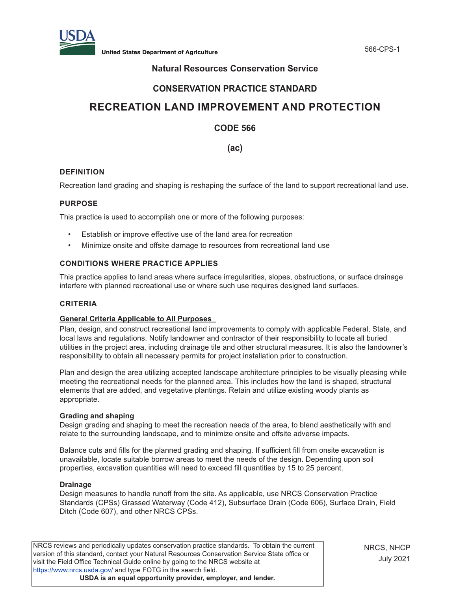

**United States Department of Agriculture** 566-CPS-1

# **Natural Resources Conservation Service**

# **CONSERVATION PRACTICE STANDARD**

# **RECREATION LAND IMPROVEMENT AND PROTECTION**

# **CODE 566**

**(ac)**

# **DEFINITION**

Recreation land grading and shaping is reshaping the surface of the land to support recreational land use.

### **PURPOSE**

This practice is used to accomplish one or more of the following purposes:

- Establish or improve effective use of the land area for recreation
- Minimize onsite and offsite damage to resources from recreational land use

# **CONDITIONS WHERE PRACTICE APPLIES**

This practice applies to land areas where surface irregularities, slopes, obstructions, or surface drainage interfere with planned recreational use or where such use requires designed land surfaces.

# **CRITERIA**

# **General Criteria Applicable to All Purposes**

Plan, design, and construct recreational land improvements to comply with applicable Federal, State, and local laws and regulations. Notify landowner and contractor of their responsibility to locate all buried utilities in the project area, including drainage tile and other structural measures. It is also the landowner's responsibility to obtain all necessary permits for project installation prior to construction.

Plan and design the area utilizing accepted landscape architecture principles to be visually pleasing while meeting the recreational needs for the planned area. This includes how the land is shaped, structural elements that are added, and vegetative plantings. Retain and utilize existing woody plants as appropriate.

#### **Grading and shaping**

Design grading and shaping to meet the recreation needs of the area, to blend aesthetically with and relate to the surrounding landscape, and to minimize onsite and offsite adverse impacts.

Balance cuts and fills for the planned grading and shaping. If sufficient fill from onsite excavation is unavailable, locate suitable borrow areas to meet the needs of the design. Depending upon soil properties, excavation quantities will need to exceed fill quantities by 15 to 25 percent.

#### **Drainage**

Design measures to handle runoff from the site. As applicable, use NRCS Conservation Practice Standards (CPSs) Grassed Waterway (Code 412), Subsurface Drain (Code 606), Surface Drain, Field Ditch (Code 607), and other NRCS CPSs.

NRCS reviews and periodically updates conservation practice standards. To obtain the current version of this standard, contact your Natural Resources Conservation Service State office or visit the Field Office Technical Guide online by going to the NRCS website at <https://www.nrcs.usda.gov/>and type FOTG in the search field. **USDA is an equal opportunity provider, employer, and lender.**

NRCS, NHCP July 2021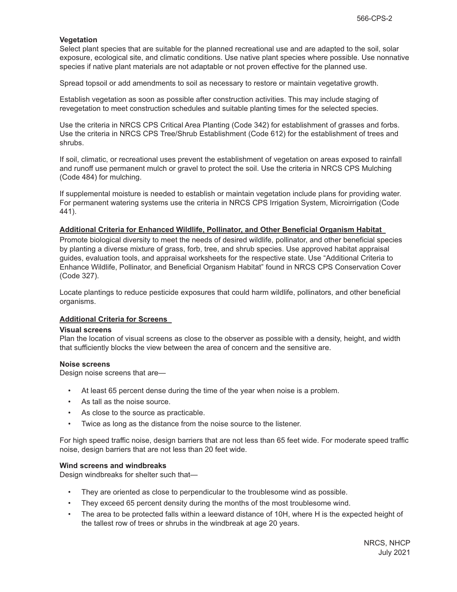#### **Vegetation**

Select plant species that are suitable for the planned recreational use and are adapted to the soil, solar exposure, ecological site, and climatic conditions. Use native plant species where possible. Use nonnative species if native plant materials are not adaptable or not proven effective for the planned use.

Spread topsoil or add amendments to soil as necessary to restore or maintain vegetative growth.

Establish vegetation as soon as possible after construction activities. This may include staging of revegetation to meet construction schedules and suitable planting times for the selected species.

Use the criteria in NRCS CPS Critical Area Planting (Code 342) for establishment of grasses and forbs. Use the criteria in NRCS CPS Tree/Shrub Establishment (Code 612) for the establishment of trees and shrubs.

If soil, climatic, or recreational uses prevent the establishment of vegetation on areas exposed to rainfall and runoff use permanent mulch or gravel to protect the soil. Use the criteria in NRCS CPS Mulching (Code 484) for mulching.

If supplemental moisture is needed to establish or maintain vegetation include plans for providing water. For permanent watering systems use the criteria in NRCS CPS Irrigation System, Microirrigation (Code 441).

#### **Additional Criteria for Enhanced Wildlife, Pollinator, and Other Beneficial Organism Habitat**

Promote biological diversity to meet the needs of desired wildlife, pollinator, and other beneficial species by planting a diverse mixture of grass, forb, tree, and shrub species. Use approved habitat appraisal guides, evaluation tools, and appraisal worksheets for the respective state. Use "Additional Criteria to Enhance Wildlife, Pollinator, and Beneficial Organism Habitat" found in NRCS CPS Conservation Cover (Code 327).

Locate plantings to reduce pesticide exposures that could harm wildlife, pollinators, and other beneficial organisms.

#### **Additional Criteria for Screens**

#### **Visual screens**

Plan the location of visual screens as close to the observer as possible with a density, height, and width that sufficiently blocks the view between the area of concern and the sensitive are.

#### **Noise screens**

Design noise screens that are—

- At least 65 percent dense during the time of the year when noise is a problem.
- As tall as the noise source.
- As close to the source as practicable.
- Twice as long as the distance from the noise source to the listener.

For high speed traffic noise, design barriers that are not less than 65 feet wide. For moderate speed traffic noise, design barriers that are not less than 20 feet wide.

#### **Wind screens and windbreaks**

Design windbreaks for shelter such that—

- They are oriented as close to perpendicular to the troublesome wind as possible.
- They exceed 65 percent density during the months of the most troublesome wind.
- The area to be protected falls within a leeward distance of 10H, where H is the expected height of the tallest row of trees or shrubs in the windbreak at age 20 years.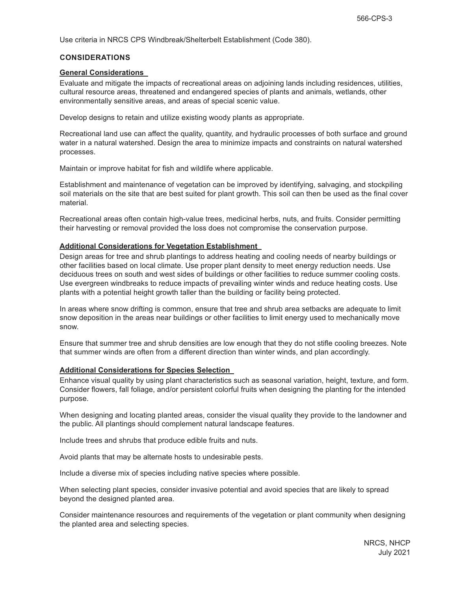Use criteria in NRCS CPS Windbreak/Shelterbelt Establishment (Code 380).

#### **CONSIDERATIONS**

#### **General Considerations**

Evaluate and mitigate the impacts of recreational areas on adjoining lands including residences, utilities, cultural resource areas, threatened and endangered species of plants and animals, wetlands, other environmentally sensitive areas, and areas of special scenic value.

Develop designs to retain and utilize existing woody plants as appropriate.

Recreational land use can affect the quality, quantity, and hydraulic processes of both surface and ground water in a natural watershed. Design the area to minimize impacts and constraints on natural watershed processes.

Maintain or improve habitat for fish and wildlife where applicable.

Establishment and maintenance of vegetation can be improved by identifying, salvaging, and stockpiling soil materials on the site that are best suited for plant growth. This soil can then be used as the final cover material.

Recreational areas often contain high-value trees, medicinal herbs, nuts, and fruits. Consider permitting their harvesting or removal provided the loss does not compromise the conservation purpose.

#### **Additional Considerations for Vegetation Establishment**

Design areas for tree and shrub plantings to address heating and cooling needs of nearby buildings or other facilities based on local climate. Use proper plant density to meet energy reduction needs. Use deciduous trees on south and west sides of buildings or other facilities to reduce summer cooling costs. Use evergreen windbreaks to reduce impacts of prevailing winter winds and reduce heating costs. Use plants with a potential height growth taller than the building or facility being protected.

In areas where snow drifting is common, ensure that tree and shrub area setbacks are adequate to limit snow deposition in the areas near buildings or other facilities to limit energy used to mechanically move snow.

Ensure that summer tree and shrub densities are low enough that they do not stifle cooling breezes. Note that summer winds are often from a different direction than winter winds, and plan accordingly.

#### **Additional Considerations for Species Selection**

Enhance visual quality by using plant characteristics such as seasonal variation, height, texture, and form. Consider flowers, fall foliage, and/or persistent colorful fruits when designing the planting for the intended purpose.

When designing and locating planted areas, consider the visual quality they provide to the landowner and the public. All plantings should complement natural landscape features.

Include trees and shrubs that produce edible fruits and nuts.

Avoid plants that may be alternate hosts to undesirable pests.

Include a diverse mix of species including native species where possible.

When selecting plant species, consider invasive potential and avoid species that are likely to spread beyond the designed planted area.

Consider maintenance resources and requirements of the vegetation or plant community when designing the planted area and selecting species.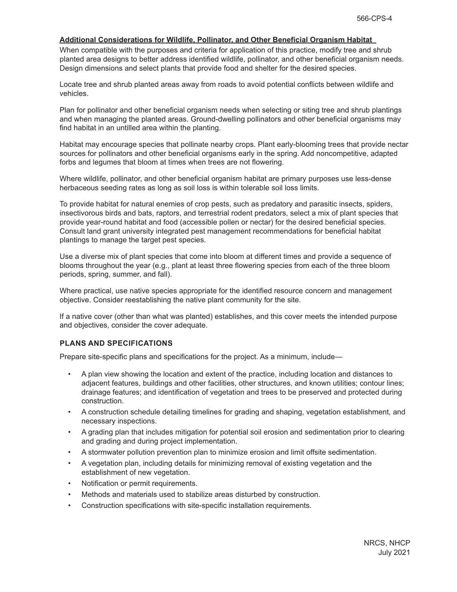# **Additional Considerations for Wildlife, Pollinator, and Other Beneficial Organism Habitat**

When compatible with the purposes and criteria for application of this practice, modify tree and shrub planted area designs to better address identified wildlife, pollinator, and other beneficial organism needs. Design dimensions and select plants that provide food and shelter for the desired species.

Locate tree and shrub planted areas away from roads to avoid potential conflicts between wildlife and vehicles.

Plan for pollinator and other beneficial organism needs when selecting or siting tree and shrub plantings and when managing the planted areas. Ground-dwelling pollinators and other beneficial organisms may find habitat in an untilled area within the planting.

Habitat may encourage species that pollinate nearby crops. Plant early-blooming trees that provide nectar sources for pollinators and other beneficial organisms early in the spring. Add noncompetitive, adapted forbs and legumes that bloom at times when trees are not flowering.

Where wildlife, pollinator, and other beneficial organism habitat are primary purposes use less-dense herbaceous seeding rates as long as soil loss is within tolerable soil loss limits.

To provide habitat for natural enemies of crop pests, such as predatory and parasitic insects, spiders, insectivorous birds and bats, raptors, and terrestrial rodent predators, select a mix of plant species that provide year-round habitat and food (accessible pollen or nectar) for the desired beneficial species. Consult land grant university integrated pest management recommendations for beneficial habitat plantings to manage the target pest species.

Use a diverse mix of plant species that come into bloom at different times and provide a sequence of blooms throughout the year (e.g., plant at least three flowering species from each of the three bloom periods, spring, summer, and fall).

Where practical, use native species appropriate for the identified resource concern and management objective. Consider reestablishing the native plant community for the site.

If a native cover (other than what was planted) establishes, and this cover meets the intended purpose and objectives, consider the cover adequate.

#### **PLANS AND SPECIFICATIONS**

Prepare site-specific plans and specifications for the project. As a minimum, include—

- A plan view showing the location and extent of the practice, including location and distances to adjacent features, buildings and other facilities, other structures, and known utilities; contour lines; drainage features; and identification of vegetation and trees to be preserved and protected during construction.
- A construction schedule detailing timelines for grading and shaping, vegetation establishment, and necessary inspections.
- A grading plan that includes mitigation for potential soil erosion and sedimentation prior to clearing and grading and during project implementation.
- A stormwater pollution prevention plan to minimize erosion and limit offsite sedimentation.
- A vegetation plan, including details for minimizing removal of existing vegetation and the establishment of new vegetation.
- Notification or permit requirements.
- Methods and materials used to stabilize areas disturbed by construction.
- Construction specifications with site-specific installation requirements.